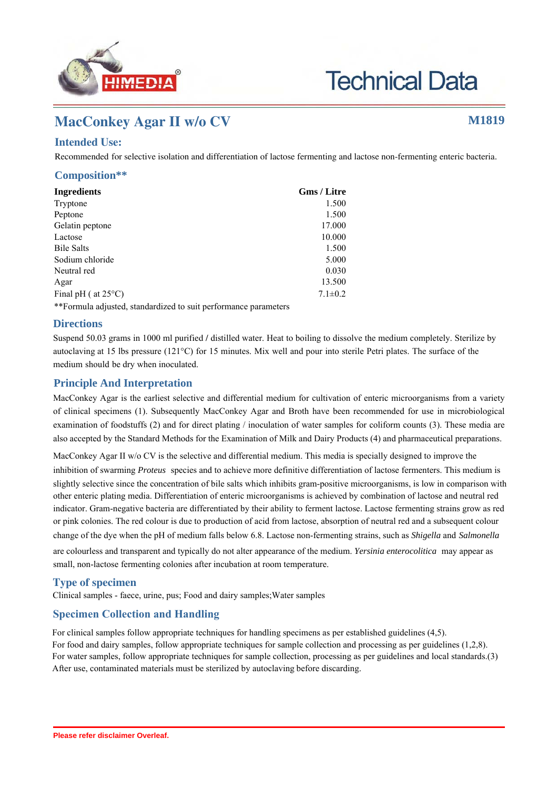

**Technical Data** 

# **MacConkey Agar II w/o CV M1819**

# **Intended Use:**

Recommended for selective isolation and differentiation of lactose fermenting and lactose non-fermenting enteric bacteria.

## **Composition\*\***

| <b>Ingredients</b>            | Gms / Litre   |
|-------------------------------|---------------|
| Tryptone                      | 1.500         |
| Peptone                       | 1.500         |
| Gelatin peptone               | 17.000        |
| Lactose                       | 10.000        |
| <b>Bile Salts</b>             | 1.500         |
| Sodium chloride               | 5.000         |
| Neutral red                   | 0.030         |
| Agar                          | 13.500        |
| Final pH ( $at 25^{\circ}$ C) | $7.1 \pm 0.2$ |
|                               |               |

\*\*Formula adjusted, standardized to suit performance parameters

## **Directions**

Suspend 50.03 grams in 1000 ml purified / distilled water. Heat to boiling to dissolve the medium completely. Sterilize by autoclaving at 15 lbs pressure (121°C) for 15 minutes. Mix well and pour into sterile Petri plates. The surface of the medium should be dry when inoculated.

# **Principle And Interpretation**

MacConkey Agar is the earliest selective and differential medium for cultivation of enteric microorganisms from a variety of clinical specimens (1). Subsequently MacConkey Agar and Broth have been recommended for use in microbiological examination of foodstuffs (2) and for direct plating / inoculation of water samples for coliform counts (3). These media are also accepted by the Standard Methods for the Examination of Milk and Dairy Products (4) and pharmaceutical preparations.

MacConkey Agar II w/o CV is the selective and differential medium. This media is specially designed to improve the inhibition of swarming *Proteus* species and to achieve more definitive differentiation of lactose fermenters. This medium is slightly selective since the concentration of bile salts which inhibits gram-positive microorganisms, is low in comparison with other enteric plating media. Differentiation of enteric microorganisms is achieved by combination of lactose and neutral red indicator. Gram-negative bacteria are differentiated by their ability to ferment lactose. Lactose fermenting strains grow as red or pink colonies. The red colour is due to production of acid from lactose, absorption of neutral red and a subsequent colour change of the dye when the pH of medium falls below 6.8. Lactose non-fermenting strains, such as *Shigella* and *Salmonella*

are colourless and transparent and typically do not alter appearance of the medium. *Yersinia enterocolitica* may appear as small, non-lactose fermenting colonies after incubation at room temperature.

# **Type of specimen**

Clinical samples - faece, urine, pus; Food and dairy samples;Water samples

# **Specimen Collection and Handling:**

For clinical samples follow appropriate techniques for handling specimens as per established guidelines (4,5). For food and dairy samples, follow appropriate techniques for sample collection and processing as per guidelines (1,2,8). For water samples, follow appropriate techniques for sample collection, processing as per guidelines and local standards.(3) After use, contaminated materials must be sterilized by autoclaving before discarding.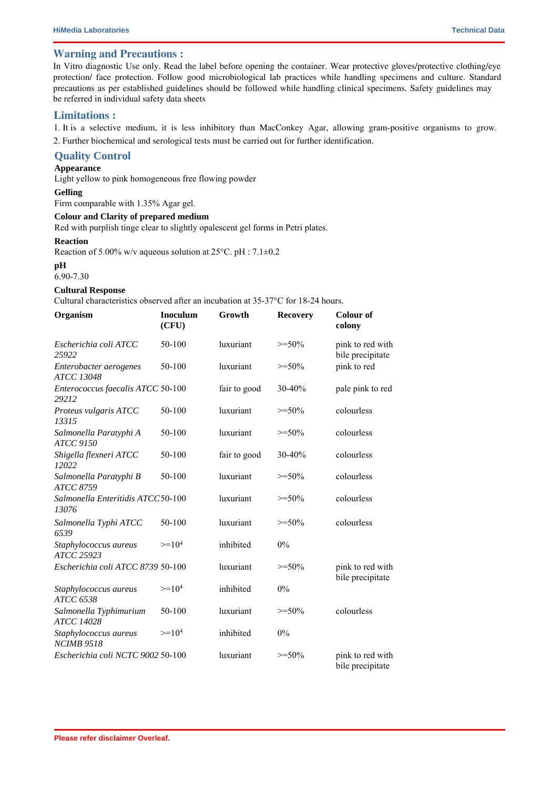## **Warning and Precautions :**

In Vitro diagnostic Use only. Read the label before opening the container. Wear protective gloves/protective clothing/eye protection/ face protection. Follow good microbiological lab practices while handling specimens and culture. Standard precautions as per established guidelines should be followed while handling clinical specimens. Safety guidelines may be referred in individual safety data sheets

#### **Limitations :**

1. It is a selective medium, it is less inhibitory than MacConkey Agar, allowing gram-positive organisms to grow.

2. Further biochemical and serological tests must be carried out for further identification.

## **Quality Control**

#### **Appearance**

Light yellow to pink homogeneous free flowing powder

#### **Gelling**

Firm comparable with 1.35% Agar gel.

#### **Colour and Clarity of prepared medium**

Red with purplish tinge clear to slightly opalescent gel forms in Petri plates.

#### **Reaction**

Reaction of 5.00% w/v aqueous solution at  $25^{\circ}$ C. pH :  $7.1\pm0.2$ 

#### **pH**

#### 6.90-7.30

#### **Cultural Response**

Cultural characteristics observed after an incubation at 35-37°C for 18-24 hours.

| Organism                                    | <b>Inoculum</b><br>(CFU) | Growth       | <b>Recovery</b> | <b>Colour of</b><br>colony           |
|---------------------------------------------|--------------------------|--------------|-----------------|--------------------------------------|
| Escherichia coli ATCC<br>25922              | 50-100                   | luxuriant    | $>=50%$         | pink to red with<br>bile precipitate |
| Enterobacter aerogenes<br><b>ATCC 13048</b> | 50-100                   | luxuriant    | $>=50%$         | pink to red                          |
| Enterococcus faecalis ATCC 50-100<br>29212  |                          | fair to good | 30-40%          | pale pink to red                     |
| Proteus vulgaris ATCC<br>13315              | 50-100                   | luxuriant    | $>=50%$         | colourless                           |
| Salmonella Paratyphi A<br><b>ATCC 9150</b>  | 50-100                   | luxuriant    | $>=50%$         | colourless                           |
| Shigella flexneri ATCC<br>12022             | 50-100                   | fair to good | 30-40%          | colourless                           |
| Salmonella Paratyphi B<br>ATCC 8759         | 50-100                   | luxuriant    | $>=50%$         | colourless                           |
| Salmonella Enteritidis ATCC50-100<br>13076  |                          | luxuriant    | $>=50%$         | colourless                           |
| Salmonella Typhi ATCC<br>6539               | 50-100                   | luxuriant    | $>=50%$         | colourless                           |
| Staphylococcus aureus<br>ATCC 25923         | $>=104$                  | inhibited    | $0\%$           |                                      |
| Escherichia coli ATCC 8739 50-100           |                          | luxuriant    | $>=50%$         | pink to red with<br>bile precipitate |
| Staphylococcus aureus<br>ATCC 6538          | $>=104$                  | inhibited    | 0%              |                                      |
| Salmonella Typhimurium<br><b>ATCC 14028</b> | 50-100                   | luxuriant    | $>=50%$         | colourless                           |
| Staphylococcus aureus<br><b>NCIMB 9518</b>  | $>=104$                  | inhibited    | $0\%$           |                                      |
| Escherichia coli NCTC 9002 50-100           |                          | luxuriant    | $>=50%$         | pink to red with<br>bile precipitate |